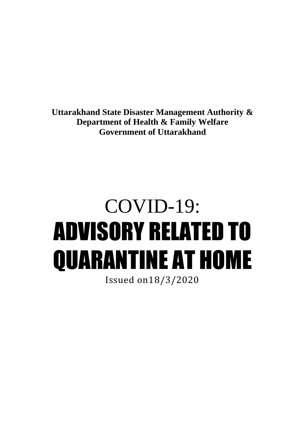**Uttarakhand State Disaster Management Authority & Department of Health & Family Welfare Government of Uttarakhand**

## COVID-19: ADVISORY RELATED TO QUARANTINE AT HOME

Issued on18/3/2020